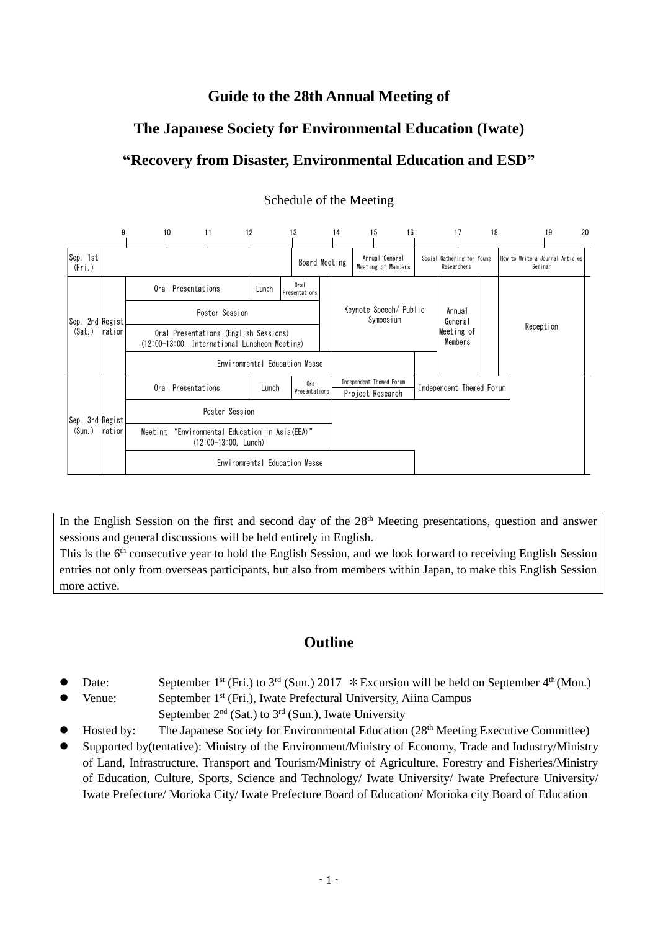# **Guide to the 28th Annual Meeting of**

# **The Japanese Society for Environmental Education (Iwate)**

# **"Recovery from Disaster, Environmental Education and ESD"**



# Schedule of the Meeting

In the English Session on the first and second day of the  $28<sup>th</sup>$  Meeting presentations, question and answer sessions and general discussions will be held entirely in English.

This is the 6<sup>th</sup> consecutive year to hold the English Session, and we look forward to receiving English Session entries not only from overseas participants, but also from members within Japan, to make this English Session more active.

# **Outline**

- Date: September 1<sup>st</sup> (Fri.) to 3<sup>rd</sup> (Sun.) 2017 \* Excursion will be held on September 4<sup>th</sup> (Mon.)
- Venue: September 1<sup>st</sup> (Fri.), Iwate Prefectural University, Aiina Campus
- September  $2<sup>nd</sup>$  (Sat.) to  $3<sup>rd</sup>$  (Sun.), Iwate University
- Hosted by: The Japanese Society for Environmental Education (28<sup>th</sup> Meeting Executive Committee)
- Supported by(tentative): Ministry of the Environment/Ministry of Economy, Trade and Industry/Ministry of Land, Infrastructure, Transport and Tourism/Ministry of Agriculture, Forestry and Fisheries/Ministry of Education, Culture, Sports, Science and Technology/ Iwate University/ Iwate Prefecture University/ Iwate Prefecture/ Morioka City/ Iwate Prefecture Board of Education/ Morioka city Board of Education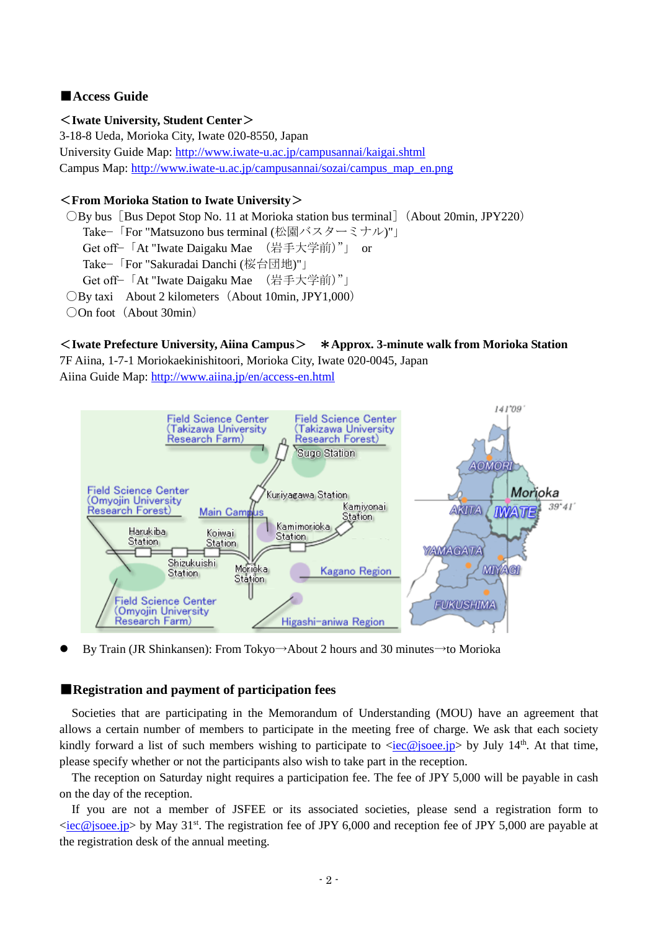# ■**Access Guide**

#### <**Iwate University, Student Center**>

3-18-8 Ueda, Morioka City, Iwate 020-8550, Japan University Guide Map:<http://www.iwate-u.ac.jp/campusannai/kaigai.shtml> Campus Map: [http://www.iwate-u.ac.jp/campusannai/sozai/campus\\_map\\_en.png](http://www.iwate-u.ac.jp/campusannai/sozai/campus_map_en.png)

## <**From Morioka Station to Iwate University**>

○By bus[Bus Depot Stop No. 11 at Morioka station bus terminal](About 20min, JPY220) Take−「For "Matsuzono bus terminal (松園バスターミナル)"」 Get off−「At "Iwate Daigaku Mae (岩手大学前)"」 or Take−「For "Sakuradai Danchi (桜台団地)"」 Get off−「At "Iwate Daigaku Mae (岩手大学前)"」 ○By taxi About 2 kilometers(About 10min, JPY1,000) ○On foot (About 30min)

#### <**Iwate Prefecture University, Aiina Campus**> \***Approx. 3-minute walk from Morioka Station** 7F Aiina, 1-7-1 Moriokaekinishitoori, Morioka City, Iwate 020-0045, Japan

Aiina Guide Map:<http://www.aiina.jp/en/access-en.html>



By Train (JR Shinkansen): From Tokyo→About 2 hours and 30 minutes→to Morioka

# ■**Registration and payment of participation fees**

 Societies that are participating in the Memorandum of Understanding (MOU) have an agreement that allows a certain number of members to participate in the meeting free of charge. We ask that each society kindly forward a list of such members wishing to participate to  $\langle \text{iec@jsoee.jp} \rangle$  by July 14<sup>th</sup>. At that time, please specify whether or not the participants also wish to take part in the reception.

 The reception on Saturday night requires a participation fee. The fee of JPY 5,000 will be payable in cash on the day of the reception.

 If you are not a member of JSFEE or its associated societies, please send a registration form to [<iec@jsoee.jp>](mailto:iec@jsoee.jp) by May 31<sup>st</sup>. The registration fee of JPY 6,000 and reception fee of JPY 5,000 are payable at the registration desk of the annual meeting.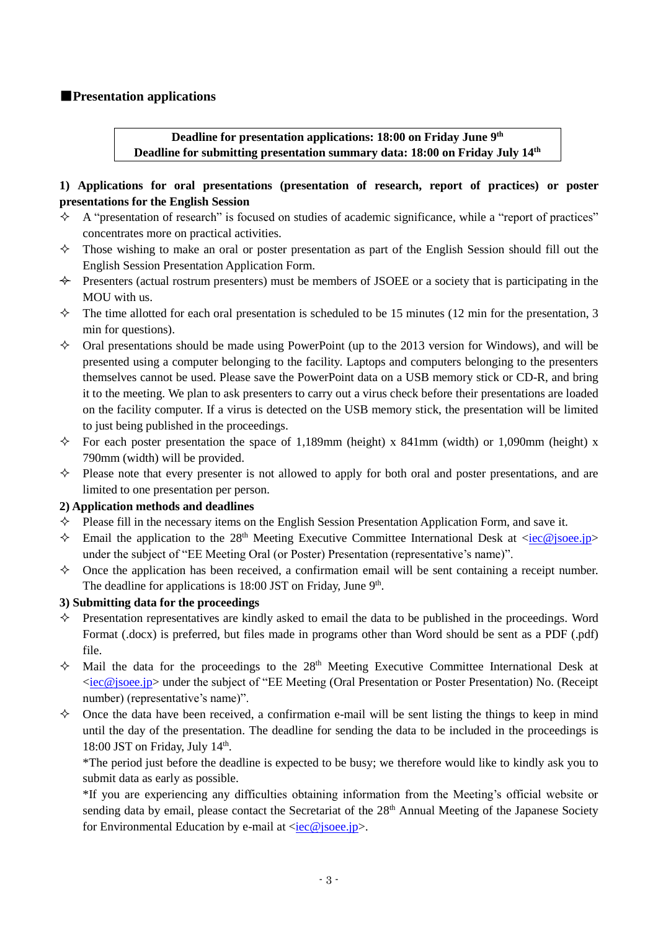# ■**Presentation applications**

**Deadline for presentation applications: 18:00 on Friday June 9 th Deadline for submitting presentation summary data: 18:00 on Friday July 14 th**

# **1) Applications for oral presentations (presentation of research, report of practices) or poster presentations for the English Session**

- $\triangle$  A "presentation of research" is focused on studies of academic significance, while a "report of practices" concentrates more on practical activities.
- $\Diamond$  Those wishing to make an oral or poster presentation as part of the English Session should fill out the English Session Presentation Application Form.
- $\leftrightarrow$  Presenters (actual rostrum presenters) must be members of JSOEE or a society that is participating in the MOU with us.
- $\Diamond$  The time allotted for each oral presentation is scheduled to be 15 minutes (12 min for the presentation, 3 min for questions).
- $\Diamond$  Oral presentations should be made using PowerPoint (up to the 2013 version for Windows), and will be presented using a computer belonging to the facility. Laptops and computers belonging to the presenters themselves cannot be used. Please save the PowerPoint data on a USB memory stick or CD-R, and bring it to the meeting. We plan to ask presenters to carry out a virus check before their presentations are loaded on the facility computer. If a virus is detected on the USB memory stick, the presentation will be limited to just being published in the proceedings.
- $\Diamond$  For each poster presentation the space of 1,189mm (height) x 841mm (width) or 1,090mm (height) x 790mm (width) will be provided.
- $\Diamond$  Please note that every presenter is not allowed to apply for both oral and poster presentations, and are limited to one presentation per person.

# **2) Application methods and deadlines**

- $\Diamond$  Please fill in the necessary items on the English Session Presentation Application Form, and save it.
- $\Diamond$  Email the application to the 28<sup>th</sup> Meeting Executive Committee International Desk at [<iec@jsoee.jp>](mailto:iec@jsoee.jp) under the subject of "EE Meeting Oral (or Poster) Presentation (representative's name)".
- $\diamond$  Once the application has been received, a confirmation email will be sent containing a receipt number. The deadline for applications is 18:00 JST on Friday, June 9<sup>th</sup>.

# **3) Submitting data for the proceedings**

- Presentation representatives are kindly asked to email the data to be published in the proceedings. Word Format (.docx) is preferred, but files made in programs other than Word should be sent as a PDF (.pdf) file.
- $\lozenge$  Mail the data for the proceedings to the 28<sup>th</sup> Meeting Executive Committee International Desk at [<iec@jsoee.jp>](mailto:iec@jsoee.jp) under the subject of "EE Meeting (Oral Presentation or Poster Presentation) No. (Receipt number) (representative's name)".
- $\diamond$  Once the data have been received, a confirmation e-mail will be sent listing the things to keep in mind until the day of the presentation. The deadline for sending the data to be included in the proceedings is 18:00 JST on Friday, July 14<sup>th</sup>.

\*The period just before the deadline is expected to be busy; we therefore would like to kindly ask you to submit data as early as possible.

\*If you are experiencing any difficulties obtaining information from the Meeting's official website or sending data by email, please contact the Secretariat of the 28<sup>th</sup> Annual Meeting of the Japanese Society for Environmental Education by e-mail at  $\langle$ iec@jsoee.jp>.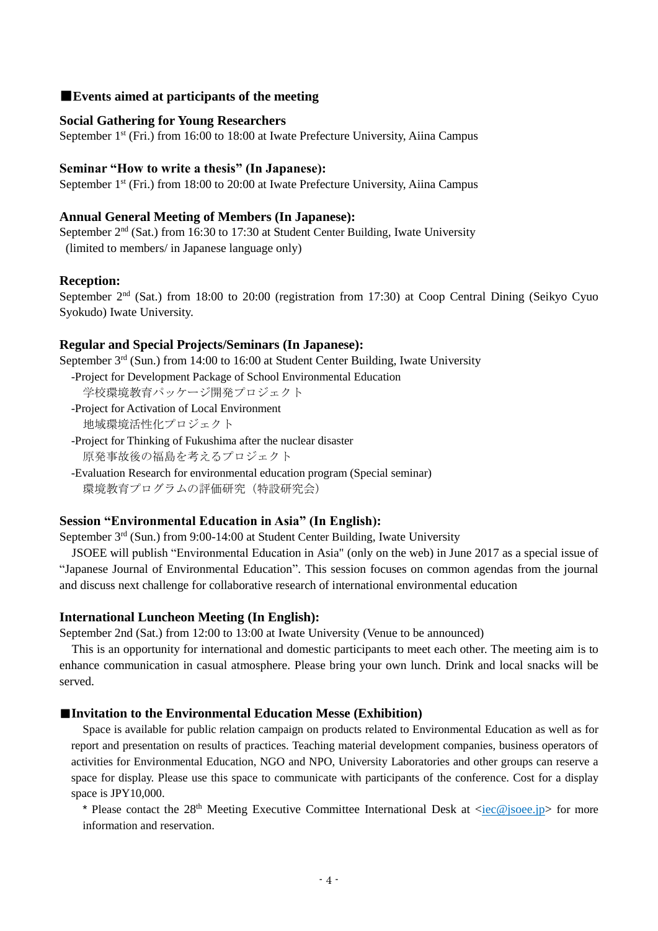## ■**Events aimed at participants of the meeting**

#### **Social Gathering for Young Researchers**

September 1<sup>st</sup> (Fri.) from 16:00 to 18:00 at Iwate Prefecture University, Aiina Campus

#### **Seminar "How to write a thesis" (In Japanese):**

September 1<sup>st</sup> (Fri.) from 18:00 to 20:00 at Iwate Prefecture University, Aiina Campus

#### **Annual General Meeting of Members (In Japanese):**

September 2<sup>nd</sup> (Sat.) from 16:30 to 17:30 at Student Center Building, Iwate University (limited to members/ in Japanese language only)

#### **Reception:**

September 2<sup>nd</sup> (Sat.) from 18:00 to 20:00 (registration from 17:30) at Coop Central Dining (Seikyo Cyuo Syokudo) Iwate University.

## **Regular and Special Projects/Seminars (In Japanese):**

September  $3<sup>rd</sup>$  (Sun.) from 14:00 to 16:00 at Student Center Building, Iwate University

- -Project for Development Package of School Environmental Education 学校環境教育パッケージ開発プロジェクト
- -Project for Activation of Local Environment 地域環境活性化プロジェクト
- -Project for Thinking of Fukushima after the nuclear disaster 原発事故後の福島を考えるプロジェクト
- -Evaluation Research for environmental education program (Special seminar) 環境教育プログラムの評価研究(特設研究会)

# **Session "Environmental Education in Asia" (In English):**

September 3<sup>rd</sup> (Sun.) from 9:00-14:00 at Student Center Building, Iwate University

JSOEE will publish "Environmental Education in Asia" (only on the web) in June 2017 as a special issue of "Japanese Journal of Environmental Education". This session focuses on common agendas from the journal and discuss next challenge for collaborative research of international environmental education

#### **International Luncheon Meeting (In English):**

September 2nd (Sat.) from 12:00 to 13:00 at Iwate University (Venue to be announced)

This is an opportunity for international and domestic participants to meet each other. The meeting aim is to enhance communication in casual atmosphere. Please bring your own lunch. Drink and local snacks will be served.

#### ■**Invitation to the Environmental Education Messe (Exhibition)**

Space is available for public relation campaign on products related to Environmental Education as well as for report and presentation on results of practices. Teaching material development companies, business operators of activities for Environmental Education, NGO and NPO, University Laboratories and other groups can reserve a space for display. Please use this space to communicate with participants of the conference. Cost for a display space is JPY10,000.

\* Please contact the 28<sup>th</sup> Meeting Executive Committee International Desk at  $\langle i\epsilon \rangle$  soee.jp> for more information and reservation.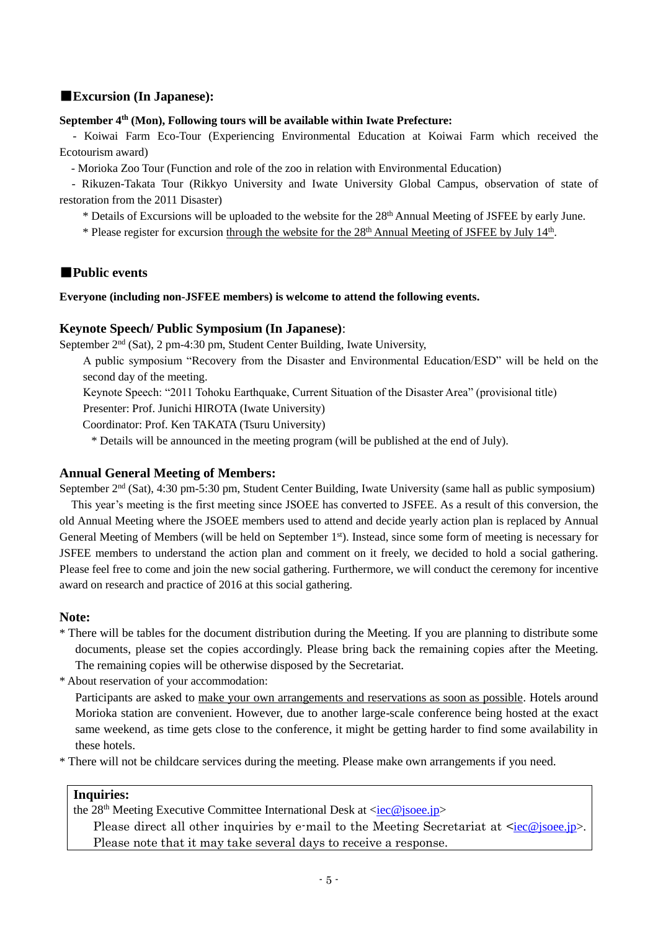# ■**Excursion (In Japanese):**

#### **September 4th (Mon), Following tours will be available within Iwate Prefecture:**

- Koiwai Farm Eco-Tour (Experiencing Environmental Education at Koiwai Farm which received the Ecotourism award)

- Morioka Zoo Tour (Function and role of the zoo in relation with Environmental Education)

- Rikuzen-Takata Tour (Rikkyo University and Iwate University Global Campus, observation of state of restoration from the 2011 Disaster)

\* Details of Excursions will be uploaded to the website for the 28th Annual Meeting of JSFEE by early June.

\* Please register for excursion through the website for the 28<sup>th</sup> Annual Meeting of JSFEE by July 14<sup>th</sup>.

# ■**Public events**

## **Everyone (including non-JSFEE members) is welcome to attend the following events.**

# **Keynote Speech/ Public Symposium (In Japanese)**:

September 2nd (Sat), 2 pm-4:30 pm, Student Center Building, Iwate University,

A public symposium "Recovery from the Disaster and Environmental Education/ESD" will be held on the second day of the meeting.

Keynote Speech: "2011 Tohoku Earthquake, Current Situation of the Disaster Area" (provisional title)

Presenter: Prof. Junichi HIROTA (Iwate University)

Coordinator: Prof. Ken TAKATA (Tsuru University)

\* Details will be announced in the meeting program (will be published at the end of July).

# **Annual General Meeting of Members:**

September 2nd (Sat), 4:30 pm-5:30 pm, Student Center Building, Iwate University (same hall as public symposium) This year's meeting is the first meeting since JSOEE has converted to JSFEE. As a result of this conversion, the old Annual Meeting where the JSOEE members used to attend and decide yearly action plan is replaced by Annual General Meeting of Members (will be held on September 1<sup>st</sup>). Instead, since some form of meeting is necessary for JSFEE members to understand the action plan and comment on it freely, we decided to hold a social gathering. Please feel free to come and join the new social gathering. Furthermore, we will conduct the ceremony for incentive award on research and practice of 2016 at this social gathering.

# **Note:**

\* There will be tables for the document distribution during the Meeting. If you are planning to distribute some documents, please set the copies accordingly. Please bring back the remaining copies after the Meeting. The remaining copies will be otherwise disposed by the Secretariat.

\* About reservation of your accommodation:

Participants are asked to make your own arrangements and reservations as soon as possible. Hotels around Morioka station are convenient. However, due to another large-scale conference being hosted at the exact same weekend, as time gets close to the conference, it might be getting harder to find some availability in these hotels.

\* There will not be childcare services during the meeting. Please make own arrangements if you need.

# **Inquiries:**

the 28<sup>th</sup> Meeting Executive Committee International Desk at [<iec@jsoee.jp>](mailto:iec@jsoee.jp)

Please direct all other inquiries by e-mail to the Meeting Secretariat at  $\leq$ [iec@jsoee.jp>](mailto:iec@jsoee.jp). Please note that it may take several days to receive a response.